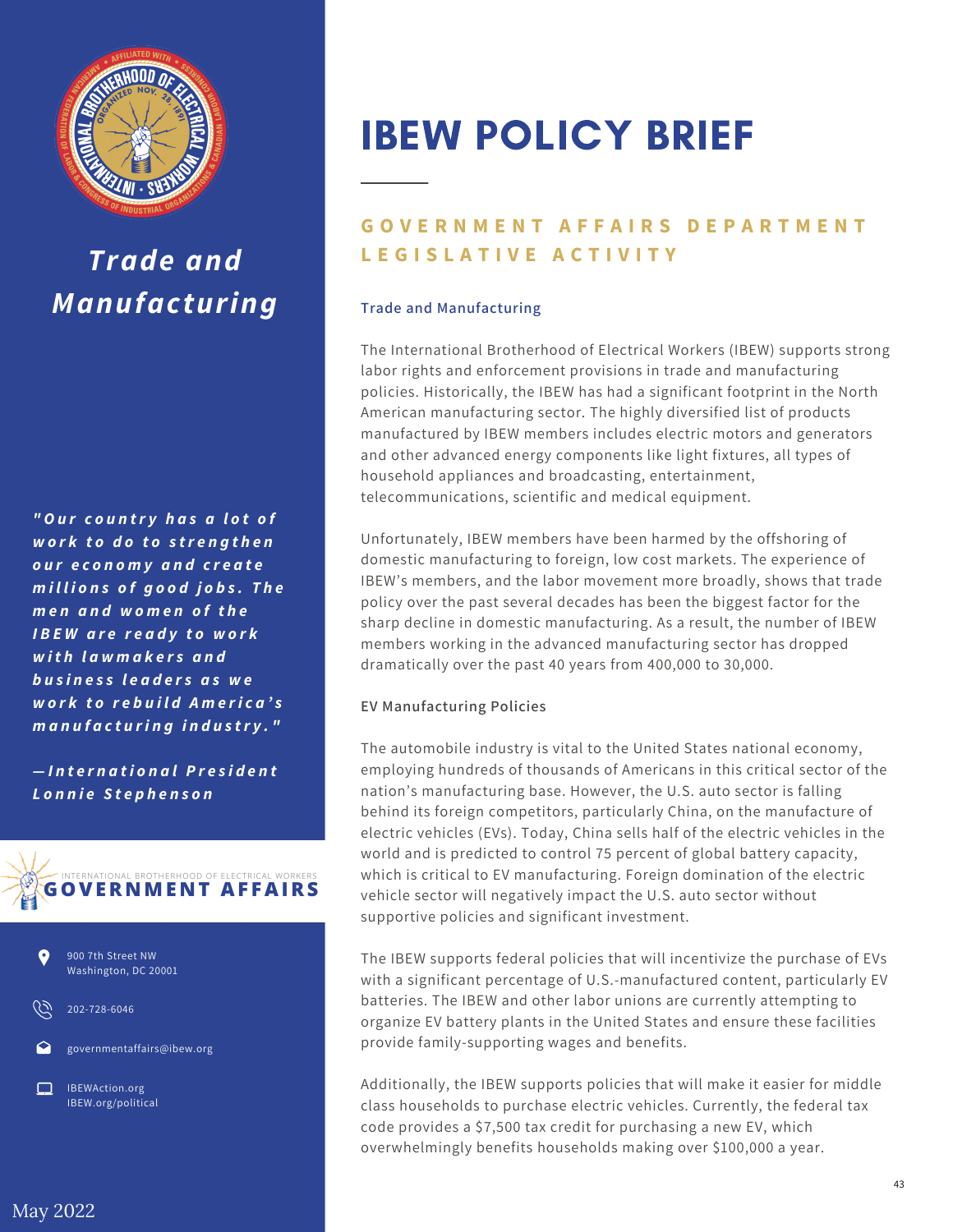

# *Trade and Manufacturing*

*" O u r c o u n tr y h a s a l o t o f w o r k t o d o t o s tr e n g t h e n o u r e c o n o m y a n d c r e a t e m i l l i o n s o f g o o d j o b s . T h e m e n a n d w o m e n o f t h e I B E W a r e r e a d y t o w o r k w i t h l a w m a k e r s a n d b u s i n e s s l e a d e r s a s w e w o r k t o r e b u il d A m e ri c a 's m a n u f a c t u ri n g i n d u s tr y . "*

*— I n t e r n a t i o n a lP r e s i d e n t L o n n ie S t e p h e n s o n*





202-728-6046

governmentaffairs@ibew.org

IBEWAction.org IBEW.org/political

# IBEW POLICY BRIEF

## **GOVERNMENT AFFAIRS DEPARTMENT L E G I S L A T I V E A C T I V I T Y**

#### **Trade and Manufacturing**

The International Brotherhood of Electrical Workers (IBEW) supports strong labor rights and enforcement provisions in trade and manufacturing policies. Historically, the IBEW has had a significant footprint in the North American manufacturing sector. The highly diversified list of products manufactured by IBEW members includes electric motors and generators and other advanced energy components like light fixtures, all types of household appliances and broadcasting, entertainment, telecommunications, scientific and medical equipment.

Unfortunately, IBEW members have been harmed by the offshoring of domestic manufacturing to foreign, low cost markets. The experience of IBEW's members, and the labor movement more broadly, shows that trade policy over the past several decades has been the biggest factor for the sharp decline in domestic manufacturing. As a result, the number of IBEW members working in the advanced manufacturing sector has dropped dramatically over the past 40 years from 400,000 to 30,000.

#### **EV Manufacturing Policies**

The automobile industry is vital to the United States national economy, employing hundreds of thousands of Americans in this critical sector of the nation's manufacturing base. However, the U.S. auto sector is falling behind its foreign competitors, particularly China, on the manufacture of electric vehicles (EVs). Today, China sells half of the electric vehicles in the world and is predicted to control 75 percent of global battery capacity, which is critical to EV manufacturing. Foreign domination of the electric vehicle sector will negatively impact the U.S. auto sector without supportive policies and significant investment.

The IBEW supports federal policies that will incentivize the purchase of EVs with a significant percentage of U.S.-manufactured content, particularly EV batteries. The IBEW and other labor unions are currently attempting to organize EV battery plants in the United States and ensure these facilities provide family-supporting wages and benefits.

Additionally, the IBEW supports policies that will make it easier for middle class households to purchase electric vehicles. Currently, the federal tax code provides a \$7,500 tax credit for purchasing a new EV, which overwhelmingly benefits households making over \$100,000 a year.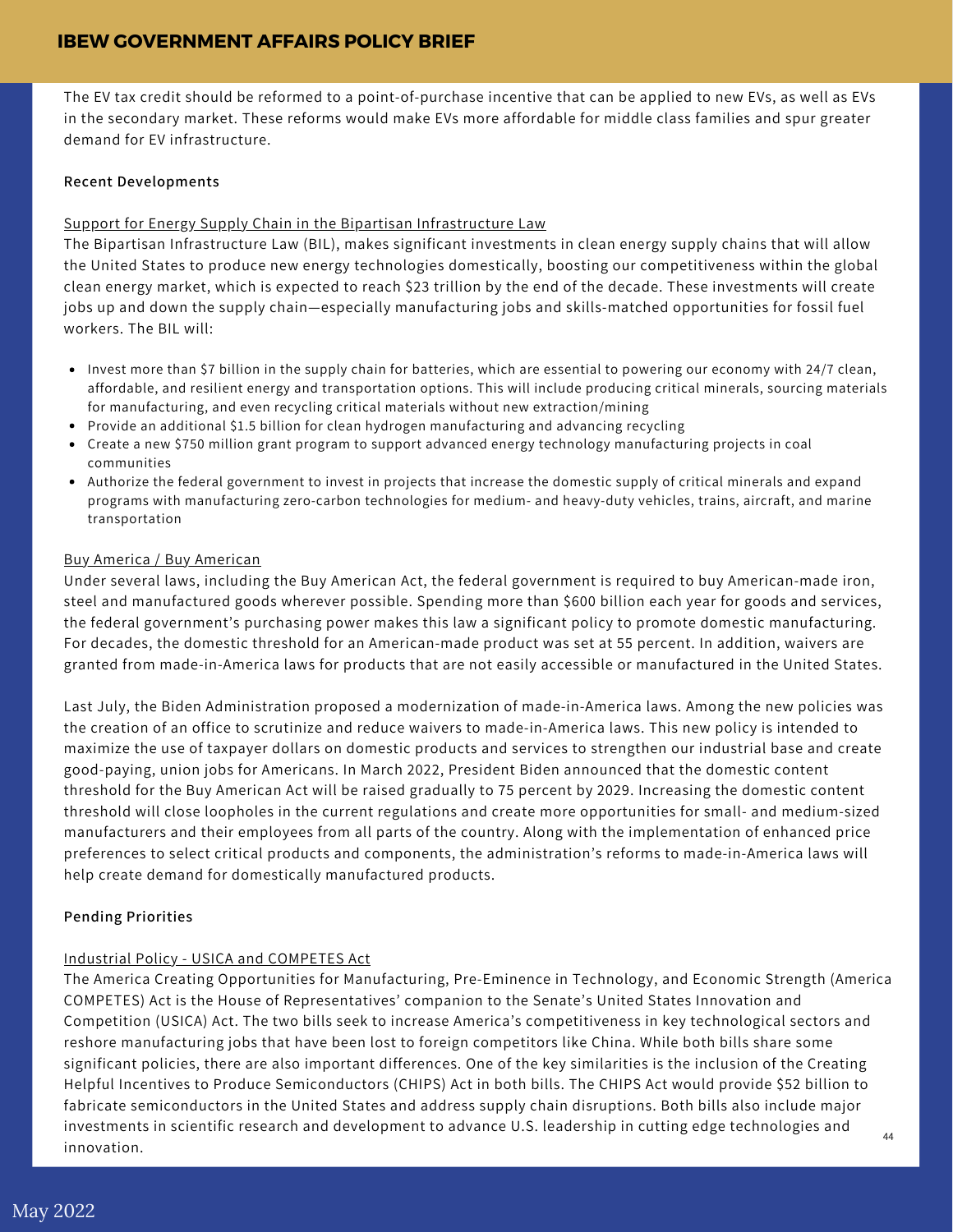### **IBEW GOVERNMENT AFFAIRS POLICY BRIEF**

The EV tax credit should be reformed to a point-of-purchase incentive that can be applied to new EVs, as well as EVs in the secondary market. These reforms would make EVs more affordable for middle class families and spur greater demand for EV infrastructure.

#### **Recent Developments**

#### Support for Energy Supply Chain in the Bipartisan Infrastructure Law

The Bipartisan Infrastructure Law (BIL), makes significant investments in clean energy supply chains that will allow the United States to produce new energy technologies domestically, boosting our competitiveness within the global clean energy market, which is expected to reach \$23 trillion by the end of the decade. These investments will create jobs up and down the supply chain—especially manufacturing jobs and skills-matched opportunities for fossil fuel workers. The BIL will:

- Invest more than \$7 billion in the supply chain for batteries, which are essential to powering our economy with 24/7 clean, affordable, and resilient energy and transportation options. This will include producing critical minerals, sourcing materials for manufacturing, and even recycling critical materials without new extraction/mining
- Provide an additional \$1.5 billion for clean hydrogen manufacturing and advancing recycling
- Create a new \$750 million grant program to support advanced energy technology manufacturing projects in coal communities
- Authorize the federal government to invest in projects that increase the domestic supply of critical minerals and expand programs with manufacturing zero-carbon technologies for medium- and heavy-duty vehicles, trains, aircraft, and marine transportation

#### Buy America / Buy American

Under several laws, including the Buy American Act, the federal government is required to buy American-made iron, steel and manufactured goods wherever possible. Spending more than \$600 billion each year for goods and services, the federal government's purchasing power makes this law a significant policy to promote domestic manufacturing. For decades, the domestic threshold for an American-made product was set at 55 percent. In addition, waivers are granted from made-in-America laws for products that are not easily accessible or manufactured in the United States.

Last July, the Biden Administration proposed a modernization of made-in-America laws. Among the new policies was the creation of an office to scrutinize and reduce waivers to made-in-America laws. This new policy is intended to maximize the use of taxpayer dollars on domestic products and services to strengthen our industrial base and create good-paying, union jobs for Americans. In March 2022, President Biden announced that the domestic content threshold for the Buy American Act will be raised gradually to 75 percent by 2029. Increasing the domestic content threshold will close loopholes in the current regulations and create more opportunities for small- and medium-sized manufacturers and their employees from all parts of the country. Along with the implementation of enhanced price preferences to select critical products and components, the administration's reforms to made-in-America laws will help create demand for domestically manufactured products.

#### **Pending Priorities**

#### Industrial Policy - USICA and COMPETES Act

The America Creating Opportunities for Manufacturing, Pre-Eminence in Technology, and Economic Strength (America COMPETES) Act is the House of Representatives' companion to the Senate's United States Innovation and Competition (USICA) Act. The two bills seek to increase America's competitiveness in key technological sectors and reshore manufacturing jobs that have been lost to foreign competitors like China. While both bills share some significant policies, there are also important differences. One of the key similarities is the inclusion of the Creating Helpful Incentives to Produce Semiconductors (CHIPS) Act in both bills. The CHIPS Act would provide \$52 billion to fabricate semiconductors in the United States and address supply chain disruptions. Both bills also include major investments in scientific research and development to advance U.S. leadership in cutting edge technologies and innovation.  $\overline{A}A$